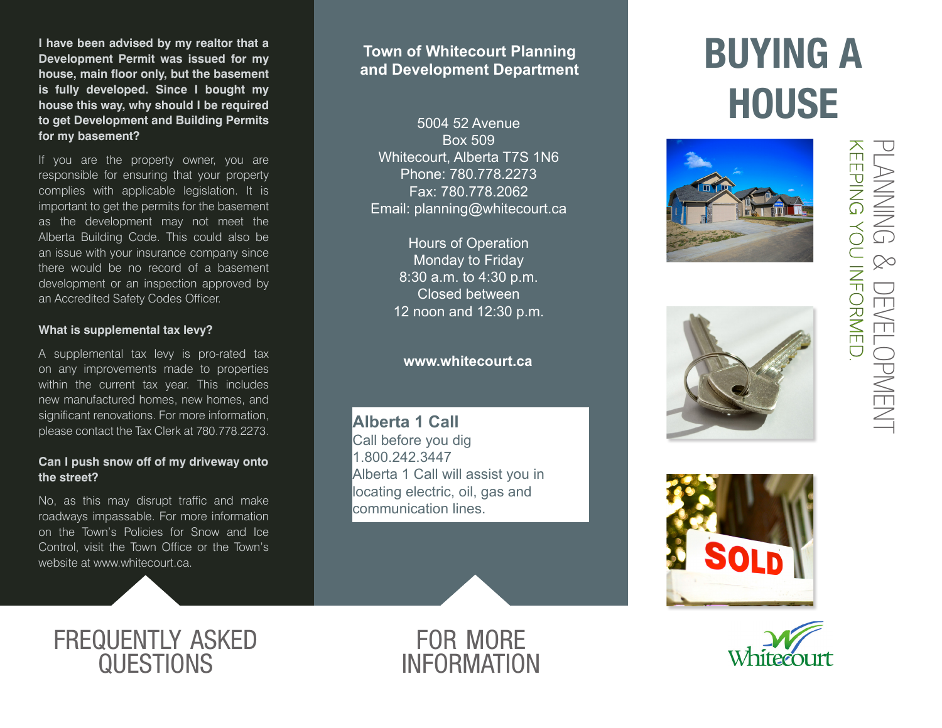**I have been advised by my realtor that a Development Permit was issued for my house, main floor only, but the basement is fully developed. Since I bought my house this way, why should I be required to get Development and Building Permits for my basement?**

If you are the property owner, you are responsible for ensuring that your property complies with applicable legislation. It is important to get the permits for the basement as the development may not meet the Alberta Building Code. This could also be an issue with your insurance company since there would be no record of a basement development or an inspection approved by an Accredited Safety Codes Officer.

#### **What is supplemental tax levy?**

A supplemental tax levy is pro-rated tax on any improvements made to properties within the current tax year. This includes new manufactured homes, new homes, and significant renovations. For more information, please contact the Tax Clerk at 780.778.2273.

### **Can I push snow off of my driveway onto the street?**

No, as this may disrupt traffic and make roadways impassable. For more information on the Town's Policies for Snow and Ice Control, visit the Town Office or the Town's website at www.whitecourt.ca.

### **Town of Whitecourt Planning and Development Department**

5004 52 Avenue Box 509 Whitecourt, Alberta T7S 1N6 Phone: 780.778.2273 Fax: 780.778.2062 Email: planning@whitecourt.ca

> Hours of Operation Monday to Friday 8:30 a.m. to 4:30 p.m. Closed between 12 noon and 12:30 p.m.

### **www.whitecourt.ca**

**Alberta 1 Call** Call before you dig 1.800.242.3447 Alberta 1 Call will assist you in locating electric, oil, gas and communication lines.

# BUYING A **HOUSE**









## frequently asked **QUESTIONS**